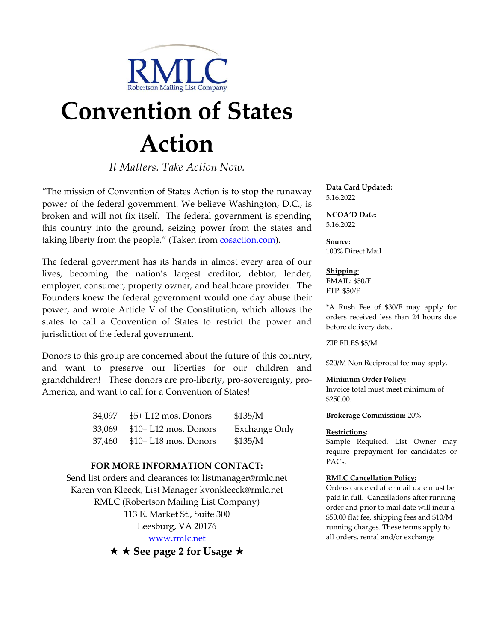

# **Convention of States Action**

*It Matters. Take Action Now.*

"The mission of Convention of States Action is to stop the runaway power of the federal government. We believe Washington, D.C., is broken and will not fix itself. The federal government is spending this country into the ground, seizing power from the states and taking liberty from the people." (Taken from [cosaction.com\)](http://www.conractfromamerica.org/).

The federal government has its hands in almost every area of our lives, becoming the nation's largest creditor, debtor, lender, employer, consumer, property owner, and healthcare provider. The Founders knew the federal government would one day abuse their power, and wrote Article V of the Constitution, which allows the states to call a Convention of States to restrict the power and jurisdiction of the federal government.

Donors to this group are concerned about the future of this country, and want to preserve our liberties for our children and grandchildren! These donors are pro-liberty, pro-sovereignty, pro-America, and want to call for a Convention of States!

| 34,097 | $$5+ L12$ mos. Donors | \$135/M              |
|--------|-----------------------|----------------------|
| 33,069 | $$10+L12$ mos. Donors | <b>Exchange Only</b> |
| 37,460 | $$10+L18$ mos. Donors | \$135/M              |

#### **FOR MORE INFORMATION CONTACT:**

Send list orders and clearances to: listmanager@rmlc.net Karen von Kleeck, List Manager [kvonkleeck@rmlc.net](mailto:kvonkleeck@rmlc.net) RMLC (Robertson Mailing List Company) 113 E. Market St., Suite 300 Leesburg, VA 20176 [www.rmlc.net](http://www.rmlc.net/) **★ ★ See page 2 for Usage ★** 

### **Data Card Updated:**

5.16.2022

**NCOA'D Date:** 5.16.2022

**Source:** 100% Direct Mail

**Shipping**: EMAIL: \$50/F FTP: \$50/F

\*A Rush Fee of \$30/F may apply for orders received less than 24 hours due before delivery date.

ZIP FILES \$5/M

\$20/M Non Reciprocal fee may apply.

#### **Minimum Order Policy:**

Invoice total must meet minimum of \$250.00.

**Brokerage Commission:** 20%

#### **Restrictions:**

Sample Required. List Owner may require prepayment for candidates or PACs.

#### **RMLC Cancellation Policy:**

Orders canceled after mail date must be paid in full. Cancellations after running order and prior to mail date will incur a \$50.00 flat fee, shipping fees and \$10/M running charges. These terms apply to all orders, rental and/or exchange